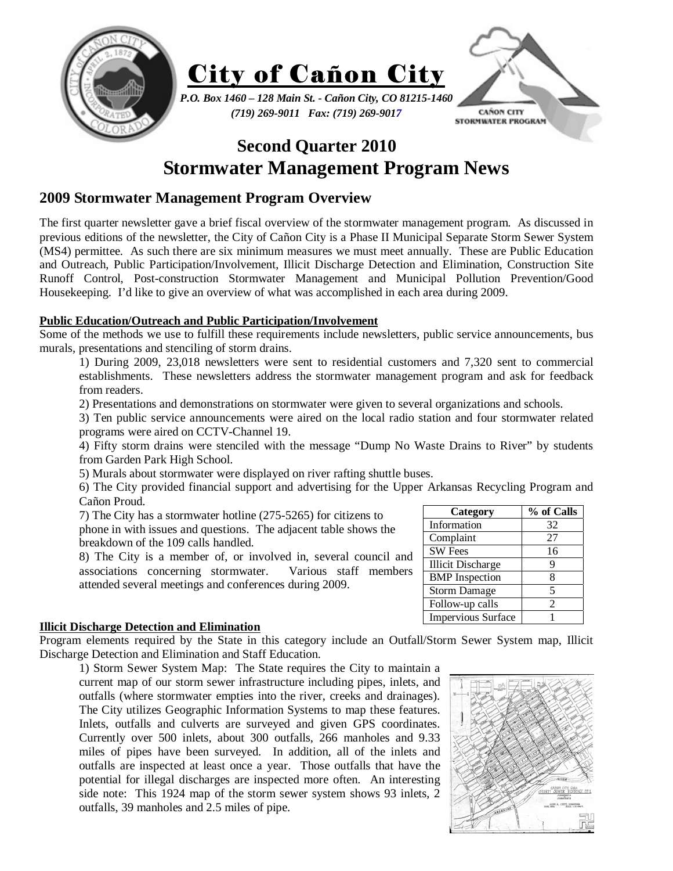



*(719) 269-9011 Fax: (719) 269-9017* 



# **Second Quarter 2010 Stormwater Management Program News**

# **2009 Stormwater Management Program Overview**

The first quarter newsletter gave a brief fiscal overview of the stormwater management program. As discussed in previous editions of the newsletter, the City of Cañon City is a Phase II Municipal Separate Storm Sewer System (MS4) permittee. As such there are six minimum measures we must meet annually. These are Public Education and Outreach, Public Participation/Involvement, Illicit Discharge Detection and Elimination, Construction Site Runoff Control, Post-construction Stormwater Management and Municipal Pollution Prevention/Good Housekeeping. I'd like to give an overview of what was accomplished in each area during 2009.

# **Public Education/Outreach and Public Participation/Involvement**

Some of the methods we use to fulfill these requirements include newsletters, public service announcements, bus murals, presentations and stenciling of storm drains.

1) During 2009, 23,018 newsletters were sent to residential customers and 7,320 sent to commercial establishments. These newsletters address the stormwater management program and ask for feedback from readers.

2) Presentations and demonstrations on stormwater were given to several organizations and schools.

3) Ten public service announcements were aired on the local radio station and four stormwater related programs were aired on CCTV-Channel 19.

4) Fifty storm drains were stenciled with the message "Dump No Waste Drains to River" by students from Garden Park High School.

5) Murals about stormwater were displayed on river rafting shuttle buses.

6) The City provided financial support and advertising for the Upper Arkansas Recycling Program and Cañon Proud.

7) The City has a stormwater hotline (275-5265) for citizens to phone in with issues and questions. The adjacent table shows the breakdown of the 109 calls handled.

8) The City is a member of, or involved in, several council and associations concerning stormwater. Various staff members attended several meetings and conferences during 2009.

## **Illicit Discharge Detection and Elimination**

Program elements required by the State in this category include an Outfall/Storm Sewer System map, Illicit Discharge Detection and Elimination and Staff Education.

1) Storm Sewer System Map: The State requires the City to maintain a current map of our storm sewer infrastructure including pipes, inlets, and outfalls (where stormwater empties into the river, creeks and drainages). The City utilizes Geographic Information Systems to map these features. Inlets, outfalls and culverts are surveyed and given GPS coordinates. Currently over 500 inlets, about 300 outfalls, 266 manholes and 9.33 miles of pipes have been surveyed. In addition, all of the inlets and outfalls are inspected at least once a year. Those outfalls that have the potential for illegal discharges are inspected more often. An interesting side note: This 1924 map of the storm sewer system shows 93 inlets, 2 outfalls, 39 manholes and 2.5 miles of pipe.



| Category                 | % of Calls |
|--------------------------|------------|
| Information              | 32         |
| Complaint                | 27         |
| <b>SW Fees</b>           | 16         |
| <b>Illicit Discharge</b> | g          |
| <b>BMP</b> Inspection    |            |
| <b>Storm Damage</b>      |            |
| Follow-up calls          | 2          |
| Impervious Surface       |            |